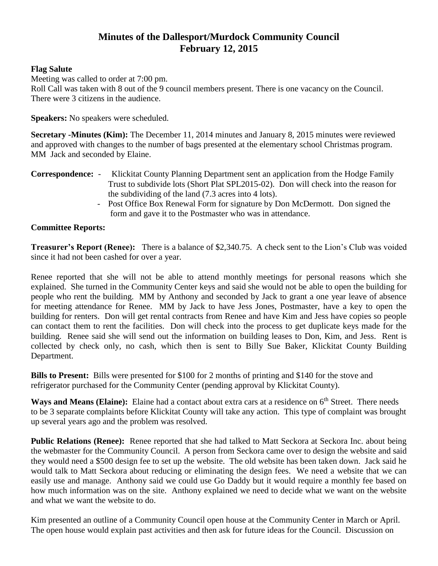## **Minutes of the Dallesport/Murdock Community Council February 12, 2015**

## **Flag Salute**

Meeting was called to order at 7:00 pm. Roll Call was taken with 8 out of the 9 council members present. There is one vacancy on the Council. There were 3 citizens in the audience.

**Speakers:** No speakers were scheduled.

**Secretary -Minutes (Kim):** The December 11, 2014 minutes and January 8, 2015 minutes were reviewed and approved with changes to the number of bags presented at the elementary school Christmas program. MM Jack and seconded by Elaine.

- **Correspondence:**  Klickitat County Planning Department sent an application from the Hodge Family Trust to subdivide lots (Short Plat SPL2015-02). Don will check into the reason for the subdividing of the land (7.3 acres into 4 lots).
	- Post Office Box Renewal Form for signature by Don McDermott. Don signed the form and gave it to the Postmaster who was in attendance.

## **Committee Reports:**

**Treasurer's Report (Renee):** There is a balance of \$2,340.75. A check sent to the Lion's Club was voided since it had not been cashed for over a year.

Renee reported that she will not be able to attend monthly meetings for personal reasons which she explained. She turned in the Community Center keys and said she would not be able to open the building for people who rent the building. MM by Anthony and seconded by Jack to grant a one year leave of absence for meeting attendance for Renee. MM by Jack to have Jess Jones, Postmaster, have a key to open the building for renters. Don will get rental contracts from Renee and have Kim and Jess have copies so people can contact them to rent the facilities. Don will check into the process to get duplicate keys made for the building. Renee said she will send out the information on building leases to Don, Kim, and Jess. Rent is collected by check only, no cash, which then is sent to Billy Sue Baker, Klickitat County Building Department.

**Bills to Present:** Bills were presented for \$100 for 2 months of printing and \$140 for the stove and refrigerator purchased for the Community Center (pending approval by Klickitat County).

Ways and Means (Elaine): Elaine had a contact about extra cars at a residence on 6<sup>th</sup> Street. There needs to be 3 separate complaints before Klickitat County will take any action. This type of complaint was brought up several years ago and the problem was resolved.

**Public Relations (Renee):** Renee reported that she had talked to Matt Seckora at Seckora Inc. about being the webmaster for the Community Council. A person from Seckora came over to design the website and said they would need a \$500 design fee to set up the website. The old website has been taken down. Jack said he would talk to Matt Seckora about reducing or eliminating the design fees. We need a website that we can easily use and manage. Anthony said we could use Go Daddy but it would require a monthly fee based on how much information was on the site. Anthony explained we need to decide what we want on the website and what we want the website to do.

Kim presented an outline of a Community Council open house at the Community Center in March or April. The open house would explain past activities and then ask for future ideas for the Council. Discussion on